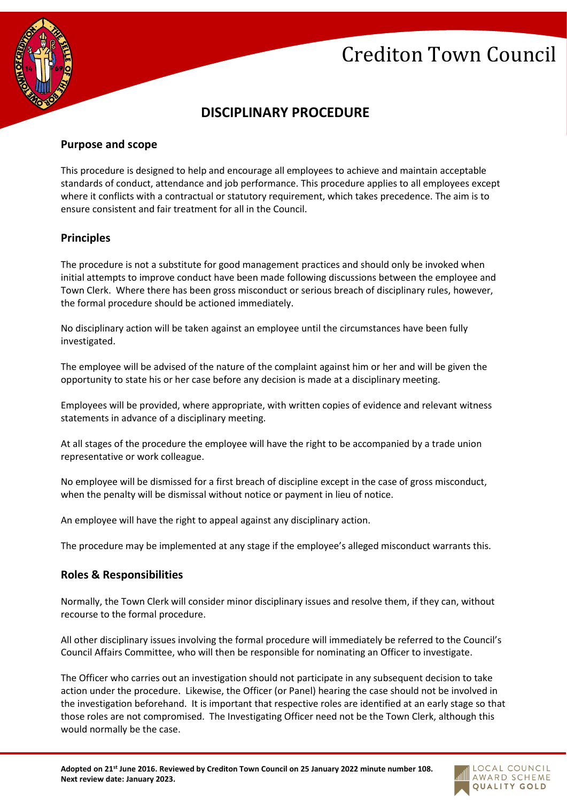# Crediton Town Council



# **DISCIPLINARY PROCEDURE**

## **Purpose and scope**

This procedure is designed to help and encourage all employees to achieve and maintain acceptable standards of conduct, attendance and job performance. This procedure applies to all employees except where it conflicts with a contractual or statutory requirement, which takes precedence. The aim is to ensure consistent and fair treatment for all in the Council.

### **Principles**

The procedure is not a substitute for good management practices and should only be invoked when initial attempts to improve conduct have been made following discussions between the employee and Town Clerk. Where there has been gross misconduct or serious breach of disciplinary rules, however, the formal procedure should be actioned immediately.

No disciplinary action will be taken against an employee until the circumstances have been fully investigated.

The employee will be advised of the nature of the complaint against him or her and will be given the opportunity to state his or her case before any decision is made at a disciplinary meeting.

Employees will be provided, where appropriate, with written copies of evidence and relevant witness statements in advance of a disciplinary meeting.

At all stages of the procedure the employee will have the right to be accompanied by a trade union representative or work colleague.

No employee will be dismissed for a first breach of discipline except in the case of gross misconduct, when the penalty will be dismissal without notice or payment in lieu of notice.

An employee will have the right to appeal against any disciplinary action.

The procedure may be implemented at any stage if the employee's alleged misconduct warrants this.

### **Roles & Responsibilities**

Normally, the Town Clerk will consider minor disciplinary issues and resolve them, if they can, without recourse to the formal procedure.

All other disciplinary issues involving the formal procedure will immediately be referred to the Council's Council Affairs Committee, who will then be responsible for nominating an Officer to investigate.

The Officer who carries out an investigation should not participate in any subsequent decision to take action under the procedure. Likewise, the Officer (or Panel) hearing the case should not be involved in the investigation beforehand. It is important that respective roles are identified at an early stage so that those roles are not compromised. The Investigating Officer need not be the Town Clerk, although this would normally be the case.

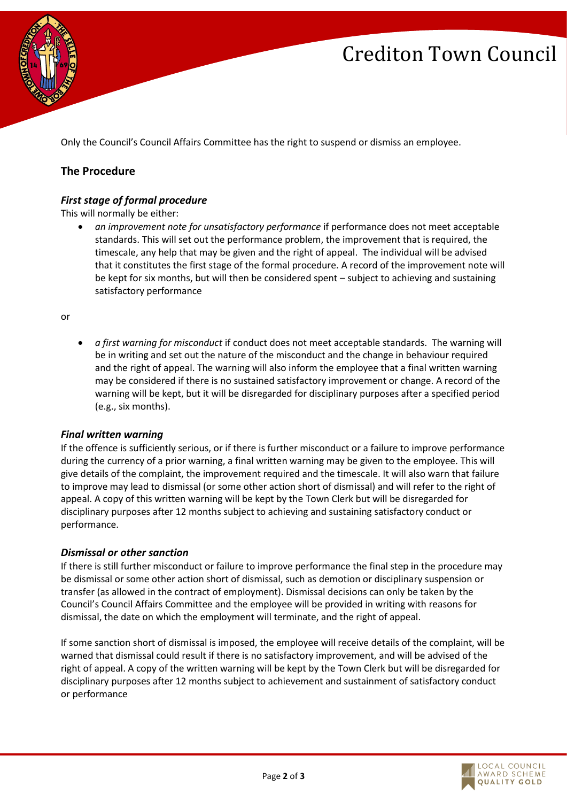# Crediton Town Council



Only the Council's Council Affairs Committee has the right to suspend or dismiss an employee.

# **The Procedure**

# *First stage of formal procedure*

This will normally be either:

• *an improvement note for unsatisfactory performance* if performance does not meet acceptable standards. This will set out the performance problem, the improvement that is required, the timescale, any help that may be given and the right of appeal. The individual will be advised that it constitutes the first stage of the formal procedure. A record of the improvement note will be kept for six months, but will then be considered spent – subject to achieving and sustaining satisfactory performance

or

• *a first warning for misconduct* if conduct does not meet acceptable standards. The warning will be in writing and set out the nature of the misconduct and the change in behaviour required and the right of appeal. The warning will also inform the employee that a final written warning may be considered if there is no sustained satisfactory improvement or change. A record of the warning will be kept, but it will be disregarded for disciplinary purposes after a specified period (e.g., six months).

### *Final written warning*

If the offence is sufficiently serious, or if there is further misconduct or a failure to improve performance during the currency of a prior warning, a final written warning may be given to the employee. This will give details of the complaint, the improvement required and the timescale. It will also warn that failure to improve may lead to dismissal (or some other action short of dismissal) and will refer to the right of appeal. A copy of this written warning will be kept by the Town Clerk but will be disregarded for disciplinary purposes after 12 months subject to achieving and sustaining satisfactory conduct or performance.

### *Dismissal or other sanction*

If there is still further misconduct or failure to improve performance the final step in the procedure may be dismissal or some other action short of dismissal, such as demotion or disciplinary suspension or transfer (as allowed in the contract of employment). Dismissal decisions can only be taken by the Council's Council Affairs Committee and the employee will be provided in writing with reasons for dismissal, the date on which the employment will terminate, and the right of appeal.

If some sanction short of dismissal is imposed, the employee will receive details of the complaint, will be warned that dismissal could result if there is no satisfactory improvement, and will be advised of the right of appeal. A copy of the written warning will be kept by the Town Clerk but will be disregarded for disciplinary purposes after 12 months subject to achievement and sustainment of satisfactory conduct or performance